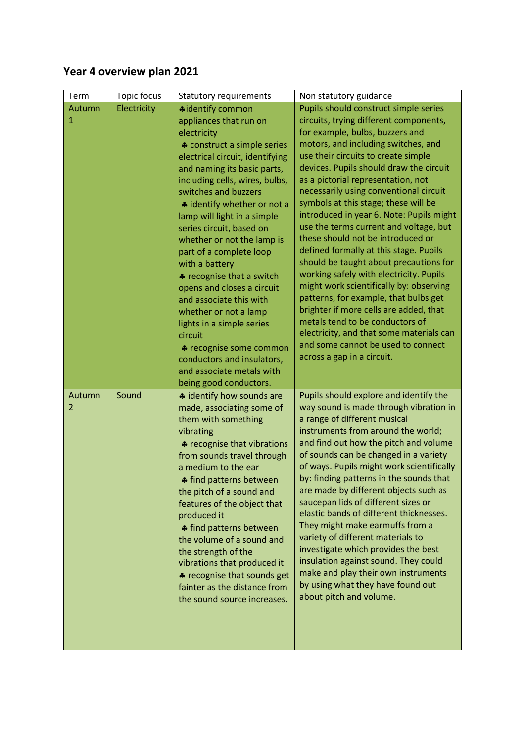## **Year 4 overview plan 2021**

| Term        | Topic focus | <b>Statutory requirements</b>                                                                                                                                                                                                                                                                                                                                                                                                                                                                                                                                                                                                                                            | Non statutory guidance                                                                                                                                                                                                                                                                                                                                                                                                                                                                                                                                                                                                                                                                                                                                                                                                                                                                                         |
|-------------|-------------|--------------------------------------------------------------------------------------------------------------------------------------------------------------------------------------------------------------------------------------------------------------------------------------------------------------------------------------------------------------------------------------------------------------------------------------------------------------------------------------------------------------------------------------------------------------------------------------------------------------------------------------------------------------------------|----------------------------------------------------------------------------------------------------------------------------------------------------------------------------------------------------------------------------------------------------------------------------------------------------------------------------------------------------------------------------------------------------------------------------------------------------------------------------------------------------------------------------------------------------------------------------------------------------------------------------------------------------------------------------------------------------------------------------------------------------------------------------------------------------------------------------------------------------------------------------------------------------------------|
| Autumn<br>1 | Electricity | <b>*</b> identify common<br>appliances that run on<br>electricity<br>♣ construct a simple series<br>electrical circuit, identifying<br>and naming its basic parts,<br>including cells, wires, bulbs,<br>switches and buzzers<br>* identify whether or not a<br>lamp will light in a simple<br>series circuit, based on<br>whether or not the lamp is<br>part of a complete loop<br>with a battery<br>* recognise that a switch<br>opens and closes a circuit<br>and associate this with<br>whether or not a lamp<br>lights in a simple series<br>circuit<br>♣ recognise some common<br>conductors and insulators,<br>and associate metals with<br>being good conductors. | Pupils should construct simple series<br>circuits, trying different components,<br>for example, bulbs, buzzers and<br>motors, and including switches, and<br>use their circuits to create simple<br>devices. Pupils should draw the circuit<br>as a pictorial representation, not<br>necessarily using conventional circuit<br>symbols at this stage; these will be<br>introduced in year 6. Note: Pupils might<br>use the terms current and voltage, but<br>these should not be introduced or<br>defined formally at this stage. Pupils<br>should be taught about precautions for<br>working safely with electricity. Pupils<br>might work scientifically by: observing<br>patterns, for example, that bulbs get<br>brighter if more cells are added, that<br>metals tend to be conductors of<br>electricity, and that some materials can<br>and some cannot be used to connect<br>across a gap in a circuit. |
| Autumn<br>2 | Sound       | # identify how sounds are<br>made, associating some of<br>them with something<br>vibrating<br>* recognise that vibrations<br>from sounds travel through<br>a medium to the ear<br># find patterns between<br>the pitch of a sound and<br>features of the object that<br>produced it<br>♣ find patterns between<br>the volume of a sound and<br>the strength of the<br>vibrations that produced it<br>* recognise that sounds get<br>fainter as the distance from<br>the sound source increases.                                                                                                                                                                          | Pupils should explore and identify the<br>way sound is made through vibration in<br>a range of different musical<br>instruments from around the world;<br>and find out how the pitch and volume<br>of sounds can be changed in a variety<br>of ways. Pupils might work scientifically<br>by: finding patterns in the sounds that<br>are made by different objects such as<br>saucepan lids of different sizes or<br>elastic bands of different thicknesses.<br>They might make earmuffs from a<br>variety of different materials to<br>investigate which provides the best<br>insulation against sound. They could<br>make and play their own instruments<br>by using what they have found out<br>about pitch and volume.                                                                                                                                                                                      |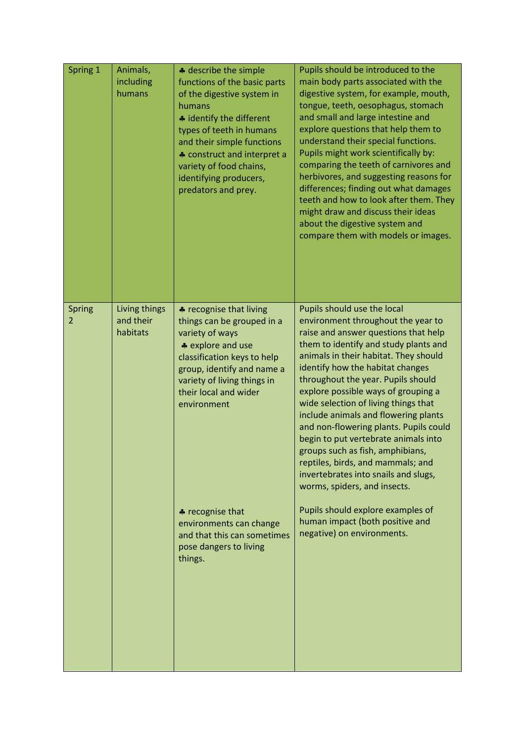| Spring 1    | Animals,<br>including<br>humans        | * describe the simple<br>functions of the basic parts<br>of the digestive system in<br>humans<br>* identify the different<br>types of teeth in humans<br>and their simple functions<br>* construct and interpret a<br>variety of food chains,<br>identifying producers,<br>predators and prey. | Pupils should be introduced to the<br>main body parts associated with the<br>digestive system, for example, mouth,<br>tongue, teeth, oesophagus, stomach<br>and small and large intestine and<br>explore questions that help them to<br>understand their special functions.<br>Pupils might work scientifically by:<br>comparing the teeth of carnivores and<br>herbivores, and suggesting reasons for<br>differences; finding out what damages<br>teeth and how to look after them. They<br>might draw and discuss their ideas<br>about the digestive system and<br>compare them with models or images.                        |
|-------------|----------------------------------------|------------------------------------------------------------------------------------------------------------------------------------------------------------------------------------------------------------------------------------------------------------------------------------------------|---------------------------------------------------------------------------------------------------------------------------------------------------------------------------------------------------------------------------------------------------------------------------------------------------------------------------------------------------------------------------------------------------------------------------------------------------------------------------------------------------------------------------------------------------------------------------------------------------------------------------------|
| Spring<br>2 | Living things<br>and their<br>habitats | * recognise that living<br>things can be grouped in a<br>variety of ways<br>* explore and use<br>classification keys to help<br>group, identify and name a<br>variety of living things in<br>their local and wider<br>environment                                                              | Pupils should use the local<br>environment throughout the year to<br>raise and answer questions that help<br>them to identify and study plants and<br>animals in their habitat. They should<br>identify how the habitat changes<br>throughout the year. Pupils should<br>explore possible ways of grouping a<br>wide selection of living things that<br>include animals and flowering plants<br>and non-flowering plants. Pupils could<br>begin to put vertebrate animals into<br>groups such as fish, amphibians,<br>reptiles, birds, and mammals; and<br>invertebrates into snails and slugs,<br>worms, spiders, and insects. |
|             |                                        | * recognise that<br>environments can change<br>and that this can sometimes<br>pose dangers to living<br>things.                                                                                                                                                                                | Pupils should explore examples of<br>human impact (both positive and<br>negative) on environments.                                                                                                                                                                                                                                                                                                                                                                                                                                                                                                                              |